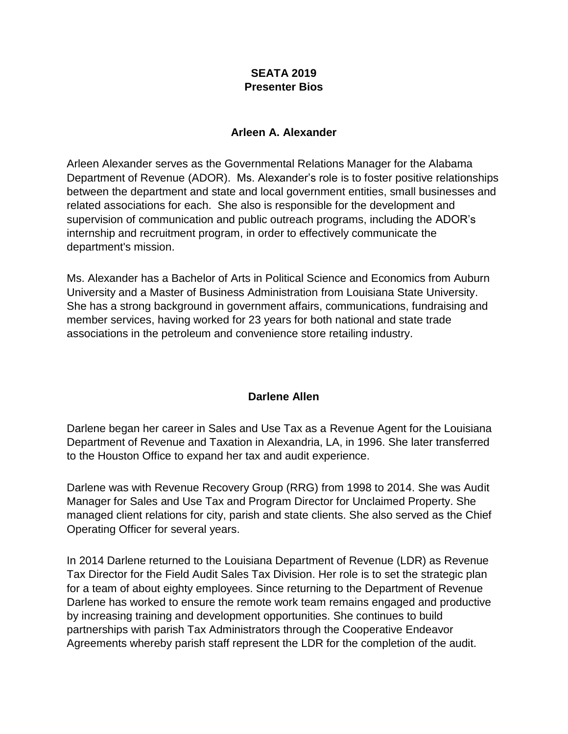### **SEATA 2019 Presenter Bios**

#### **Arleen A. Alexander**

Arleen Alexander serves as the Governmental Relations Manager for the Alabama Department of Revenue (ADOR). Ms. Alexander's role is to foster positive relationships between the department and state and local government entities, small businesses and related associations for each. She also is responsible for the development and supervision of communication and public outreach programs, including the ADOR's internship and recruitment program, in order to effectively communicate the department's mission.

Ms. Alexander has a Bachelor of Arts in Political Science and Economics from Auburn University and a Master of Business Administration from Louisiana State University. She has a strong background in government affairs, communications, fundraising and member services, having worked for 23 years for both national and state trade associations in the petroleum and convenience store retailing industry.

### **Darlene Allen**

Darlene began her career in Sales and Use Tax as a Revenue Agent for the Louisiana Department of Revenue and Taxation in Alexandria, LA, in 1996. She later transferred to the Houston Office to expand her tax and audit experience.

Darlene was with Revenue Recovery Group (RRG) from 1998 to 2014. She was Audit Manager for Sales and Use Tax and Program Director for Unclaimed Property. She managed client relations for city, parish and state clients. She also served as the Chief Operating Officer for several years.

In 2014 Darlene returned to the Louisiana Department of Revenue (LDR) as Revenue Tax Director for the Field Audit Sales Tax Division. Her role is to set the strategic plan for a team of about eighty employees. Since returning to the Department of Revenue Darlene has worked to ensure the remote work team remains engaged and productive by increasing training and development opportunities. She continues to build partnerships with parish Tax Administrators through the Cooperative Endeavor Agreements whereby parish staff represent the LDR for the completion of the audit.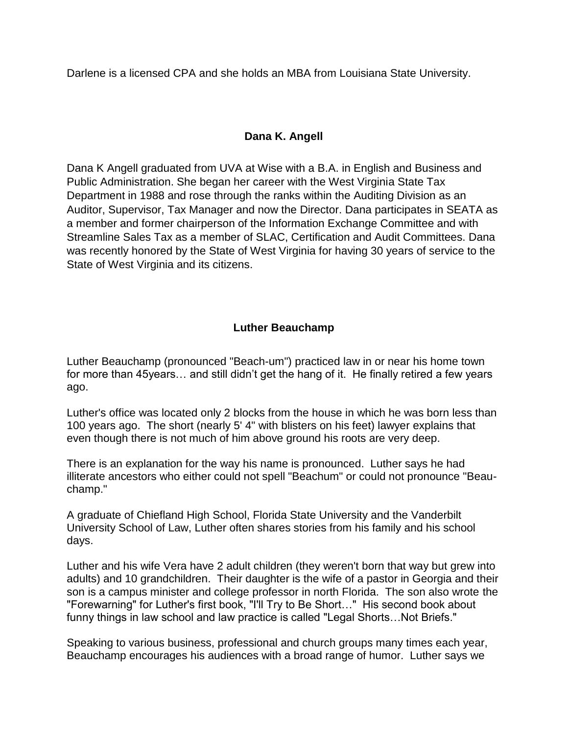Darlene is a licensed CPA and she holds an MBA from Louisiana State University.

# **Dana K. Angell**

Dana K Angell graduated from UVA at Wise with a B.A. in English and Business and Public Administration. She began her career with the West Virginia State Tax Department in 1988 and rose through the ranks within the Auditing Division as an Auditor, Supervisor, Tax Manager and now the Director. Dana participates in SEATA as a member and former chairperson of the Information Exchange Committee and with Streamline Sales Tax as a member of SLAC, Certification and Audit Committees. Dana was recently honored by the State of West Virginia for having 30 years of service to the State of West Virginia and its citizens.

# **Luther Beauchamp**

Luther Beauchamp (pronounced "Beach-um") practiced law in or near his home town for more than 45years… and still didn't get the hang of it. He finally retired a few years ago.

Luther's office was located only 2 blocks from the house in which he was born less than 100 years ago. The short (nearly 5' 4" with blisters on his feet) lawyer explains that even though there is not much of him above ground his roots are very deep.

There is an explanation for the way his name is pronounced. Luther says he had illiterate ancestors who either could not spell "Beachum" or could not pronounce "Beauchamp."

A graduate of Chiefland High School, Florida State University and the Vanderbilt University School of Law, Luther often shares stories from his family and his school days.

Luther and his wife Vera have 2 adult children (they weren't born that way but grew into adults) and 10 grandchildren. Their daughter is the wife of a pastor in Georgia and their son is a campus minister and college professor in north Florida. The son also wrote the "Forewarning" for Luther's first book, "I'll Try to Be Short..." His second book about funny things in law school and law practice is called "Legal Shorts…Not Briefs."

Speaking to various business, professional and church groups many times each year, Beauchamp encourages his audiences with a broad range of humor. Luther says we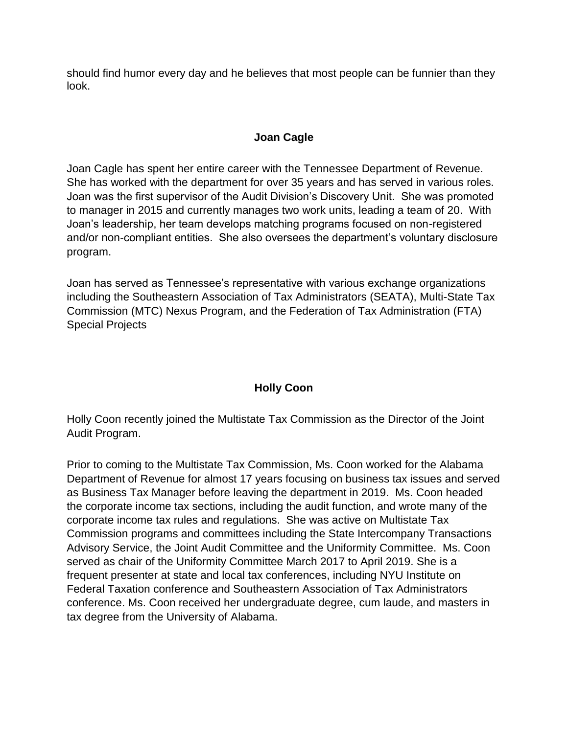should find humor every day and he believes that most people can be funnier than they look.

# **Joan Cagle**

Joan Cagle has spent her entire career with the Tennessee Department of Revenue. She has worked with the department for over 35 years and has served in various roles. Joan was the first supervisor of the Audit Division's Discovery Unit. She was promoted to manager in 2015 and currently manages two work units, leading a team of 20. With Joan's leadership, her team develops matching programs focused on non-registered and/or non-compliant entities. She also oversees the department's voluntary disclosure program.

Joan has served as Tennessee's representative with various exchange organizations including the Southeastern Association of Tax Administrators (SEATA), Multi-State Tax Commission (MTC) Nexus Program, and the Federation of Tax Administration (FTA) Special Projects

# **Holly Coon**

Holly Coon recently joined the Multistate Tax Commission as the Director of the Joint Audit Program.

Prior to coming to the Multistate Tax Commission, Ms. Coon worked for the Alabama Department of Revenue for almost 17 years focusing on business tax issues and served as Business Tax Manager before leaving the department in 2019. Ms. Coon headed the corporate income tax sections, including the audit function, and wrote many of the corporate income tax rules and regulations. She was active on Multistate Tax Commission programs and committees including the State Intercompany Transactions Advisory Service, the Joint Audit Committee and the Uniformity Committee. Ms. Coon served as chair of the Uniformity Committee March 2017 to April 2019. She is a frequent presenter at state and local tax conferences, including NYU Institute on Federal Taxation conference and Southeastern Association of Tax Administrators conference. Ms. Coon received her undergraduate degree, cum laude, and masters in tax degree from the University of Alabama.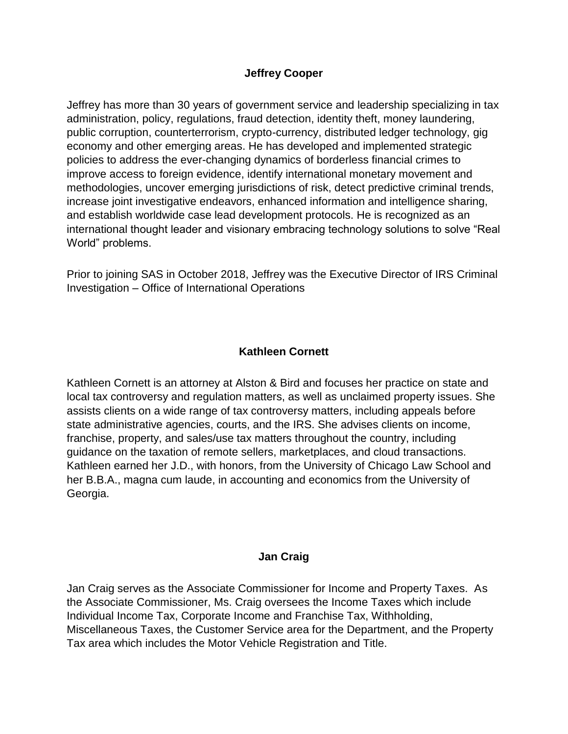### **Jeffrey Cooper**

Jeffrey has more than 30 years of government service and leadership specializing in tax administration, policy, regulations, fraud detection, identity theft, money laundering, public corruption, counterterrorism, crypto-currency, distributed ledger technology, gig economy and other emerging areas. He has developed and implemented strategic policies to address the ever-changing dynamics of borderless financial crimes to improve access to foreign evidence, identify international monetary movement and methodologies, uncover emerging jurisdictions of risk, detect predictive criminal trends, increase joint investigative endeavors, enhanced information and intelligence sharing, and establish worldwide case lead development protocols. He is recognized as an international thought leader and visionary embracing technology solutions to solve "Real World" problems.

Prior to joining SAS in October 2018, Jeffrey was the Executive Director of IRS Criminal Investigation – Office of International Operations

### **Kathleen Cornett**

Kathleen Cornett is an attorney at Alston & Bird and focuses her practice on state and local tax controversy and regulation matters, as well as unclaimed property issues. She assists clients on a wide range of tax controversy matters, including appeals before state administrative agencies, courts, and the IRS. She advises clients on income, franchise, property, and sales/use tax matters throughout the country, including guidance on the taxation of remote sellers, marketplaces, and cloud transactions. Kathleen earned her J.D., with honors, from the University of Chicago Law School and her B.B.A., magna cum laude, in accounting and economics from the University of Georgia.

### **Jan Craig**

Jan Craig serves as the Associate Commissioner for Income and Property Taxes. As the Associate Commissioner, Ms. Craig oversees the Income Taxes which include Individual Income Tax, Corporate Income and Franchise Tax, Withholding, Miscellaneous Taxes, the Customer Service area for the Department, and the Property Tax area which includes the Motor Vehicle Registration and Title.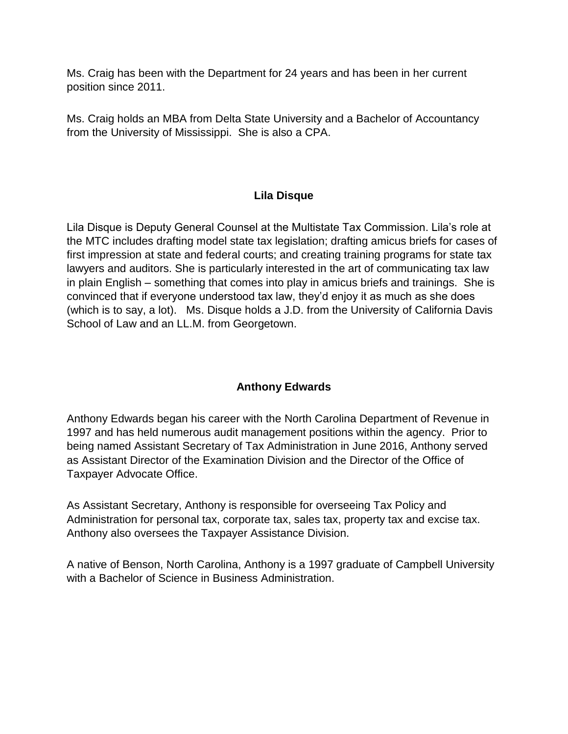Ms. Craig has been with the Department for 24 years and has been in her current position since 2011.

Ms. Craig holds an MBA from Delta State University and a Bachelor of Accountancy from the University of Mississippi. She is also a CPA.

# **Lila Disque**

Lila Disque is Deputy General Counsel at the Multistate Tax Commission. Lila's role at the MTC includes drafting model state tax legislation; drafting amicus briefs for cases of first impression at state and federal courts; and creating training programs for state tax lawyers and auditors. She is particularly interested in the art of communicating tax law in plain English – something that comes into play in amicus briefs and trainings. She is convinced that if everyone understood tax law, they'd enjoy it as much as she does (which is to say, a lot). Ms. Disque holds a J.D. from the University of California Davis School of Law and an LL.M. from Georgetown.

# **Anthony Edwards**

Anthony Edwards began his career with the North Carolina Department of Revenue in 1997 and has held numerous audit management positions within the agency. Prior to being named Assistant Secretary of Tax Administration in June 2016, Anthony served as Assistant Director of the Examination Division and the Director of the Office of Taxpayer Advocate Office.

As Assistant Secretary, Anthony is responsible for overseeing Tax Policy and Administration for personal tax, corporate tax, sales tax, property tax and excise tax. Anthony also oversees the Taxpayer Assistance Division.

A native of Benson, North Carolina, Anthony is a 1997 graduate of Campbell University with a Bachelor of Science in Business Administration.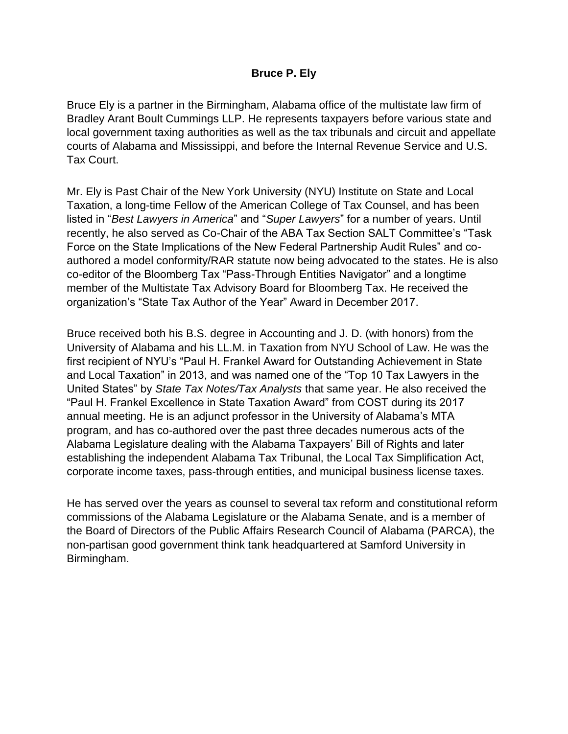### **Bruce P. Ely**

Bruce Ely is a partner in the Birmingham, Alabama office of the multistate law firm of Bradley Arant Boult Cummings LLP. He represents taxpayers before various state and local government taxing authorities as well as the tax tribunals and circuit and appellate courts of Alabama and Mississippi, and before the Internal Revenue Service and U.S. Tax Court.

Mr. Ely is Past Chair of the New York University (NYU) Institute on State and Local Taxation, a long-time Fellow of the American College of Tax Counsel, and has been listed in "*Best Lawyers in America*" and "*Super Lawyers*" for a number of years. Until recently, he also served as Co-Chair of the ABA Tax Section SALT Committee's "Task Force on the State Implications of the New Federal Partnership Audit Rules" and coauthored a model conformity/RAR statute now being advocated to the states. He is also co-editor of the Bloomberg Tax "Pass-Through Entities Navigator" and a longtime member of the Multistate Tax Advisory Board for Bloomberg Tax. He received the organization's "State Tax Author of the Year" Award in December 2017.

Bruce received both his B.S. degree in Accounting and J. D. (with honors) from the University of Alabama and his LL.M. in Taxation from NYU School of Law. He was the first recipient of NYU's "Paul H. Frankel Award for Outstanding Achievement in State and Local Taxation" in 2013, and was named one of the "Top 10 Tax Lawyers in the United States" by *State Tax Notes/Tax Analysts* that same year. He also received the "Paul H. Frankel Excellence in State Taxation Award" from COST during its 2017 annual meeting. He is an adjunct professor in the University of Alabama's MTA program, and has co-authored over the past three decades numerous acts of the Alabama Legislature dealing with the Alabama Taxpayers' Bill of Rights and later establishing the independent Alabama Tax Tribunal, the Local Tax Simplification Act, corporate income taxes, pass-through entities, and municipal business license taxes.

He has served over the years as counsel to several tax reform and constitutional reform commissions of the Alabama Legislature or the Alabama Senate, and is a member of the Board of Directors of the Public Affairs Research Council of Alabama (PARCA), the non-partisan good government think tank headquartered at Samford University in Birmingham.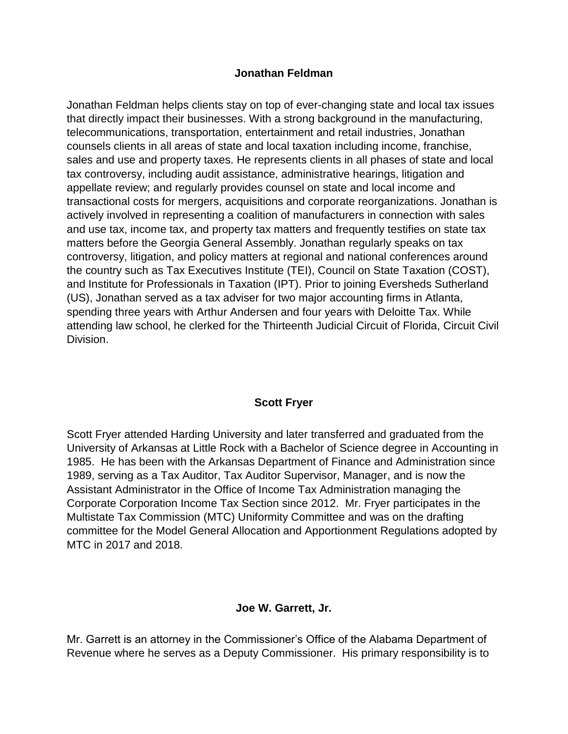### **Jonathan Feldman**

Jonathan Feldman helps clients stay on top of ever-changing state and local tax issues that directly impact their businesses. With a strong background in the manufacturing, telecommunications, transportation, entertainment and retail industries, Jonathan counsels clients in all areas of state and local taxation including income, franchise, sales and use and property taxes. He represents clients in all phases of state and local tax controversy, including audit assistance, administrative hearings, litigation and appellate review; and regularly provides counsel on state and local income and transactional costs for mergers, acquisitions and corporate reorganizations. Jonathan is actively involved in representing a coalition of manufacturers in connection with sales and use tax, income tax, and property tax matters and frequently testifies on state tax matters before the Georgia General Assembly. Jonathan regularly speaks on tax controversy, litigation, and policy matters at regional and national conferences around the country such as Tax Executives Institute (TEI), Council on State Taxation (COST), and Institute for Professionals in Taxation (IPT). Prior to joining Eversheds Sutherland (US), Jonathan served as a tax adviser for two major accounting firms in Atlanta, spending three years with Arthur Andersen and four years with Deloitte Tax. While attending law school, he clerked for the Thirteenth Judicial Circuit of Florida, Circuit Civil Division.

# **Scott Fryer**

Scott Fryer attended Harding University and later transferred and graduated from the University of Arkansas at Little Rock with a Bachelor of Science degree in Accounting in 1985. He has been with the Arkansas Department of Finance and Administration since 1989, serving as a Tax Auditor, Tax Auditor Supervisor, Manager, and is now the Assistant Administrator in the Office of Income Tax Administration managing the Corporate Corporation Income Tax Section since 2012. Mr. Fryer participates in the Multistate Tax Commission (MTC) Uniformity Committee and was on the drafting committee for the Model General Allocation and Apportionment Regulations adopted by MTC in 2017 and 2018.

# **Joe W. Garrett, Jr.**

Mr. Garrett is an attorney in the Commissioner's Office of the Alabama Department of Revenue where he serves as a Deputy Commissioner. His primary responsibility is to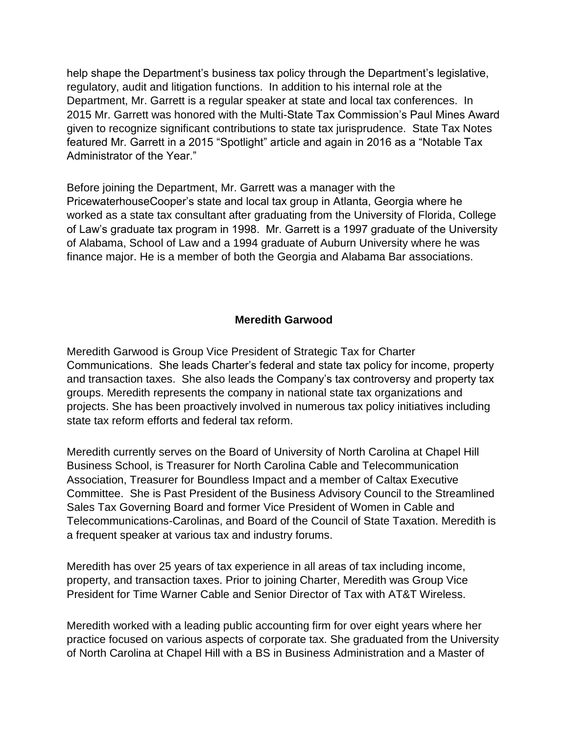help shape the Department's business tax policy through the Department's legislative, regulatory, audit and litigation functions. In addition to his internal role at the Department, Mr. Garrett is a regular speaker at state and local tax conferences. In 2015 Mr. Garrett was honored with the Multi-State Tax Commission's Paul Mines Award given to recognize significant contributions to state tax jurisprudence. State Tax Notes featured Mr. Garrett in a 2015 "Spotlight" article and again in 2016 as a "Notable Tax Administrator of the Year."

Before joining the Department, Mr. Garrett was a manager with the PricewaterhouseCooper's state and local tax group in Atlanta, Georgia where he worked as a state tax consultant after graduating from the University of Florida, College of Law's graduate tax program in 1998. Mr. Garrett is a 1997 graduate of the University of Alabama, School of Law and a 1994 graduate of Auburn University where he was finance major. He is a member of both the Georgia and Alabama Bar associations.

# **Meredith Garwood**

Meredith Garwood is Group Vice President of Strategic Tax for Charter Communications. She leads Charter's federal and state tax policy for income, property and transaction taxes. She also leads the Company's tax controversy and property tax groups. Meredith represents the company in national state tax organizations and projects. She has been proactively involved in numerous tax policy initiatives including state tax reform efforts and federal tax reform.

Meredith currently serves on the Board of University of North Carolina at Chapel Hill Business School, is Treasurer for North Carolina Cable and Telecommunication Association, Treasurer for Boundless Impact and a member of Caltax Executive Committee. She is Past President of the Business Advisory Council to the Streamlined Sales Tax Governing Board and former Vice President of Women in Cable and Telecommunications-Carolinas, and Board of the Council of State Taxation. Meredith is a frequent speaker at various tax and industry forums.

Meredith has over 25 years of tax experience in all areas of tax including income, property, and transaction taxes. Prior to joining Charter, Meredith was Group Vice President for Time Warner Cable and Senior Director of Tax with AT&T Wireless.

Meredith worked with a leading public accounting firm for over eight years where her practice focused on various aspects of corporate tax. She graduated from the University of North Carolina at Chapel Hill with a BS in Business Administration and a Master of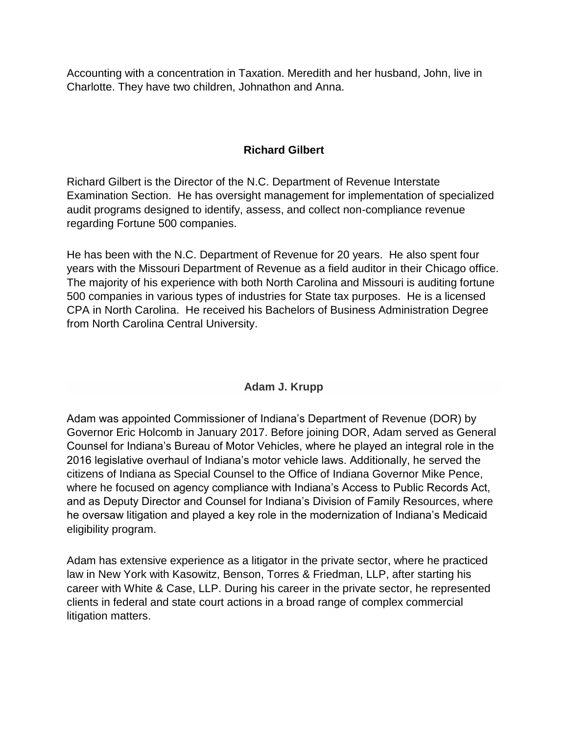Accounting with a concentration in Taxation. Meredith and her husband, John, live in Charlotte. They have two children, Johnathon and Anna.

# **Richard Gilbert**

Richard Gilbert is the Director of the N.C. Department of Revenue Interstate Examination Section. He has oversight management for implementation of specialized audit programs designed to identify, assess, and collect non-compliance revenue regarding Fortune 500 companies.

He has been with the N.C. Department of Revenue for 20 years. He also spent four years with the Missouri Department of Revenue as a field auditor in their Chicago office. The majority of his experience with both North Carolina and Missouri is auditing fortune 500 companies in various types of industries for State tax purposes. He is a licensed CPA in North Carolina. He received his Bachelors of Business Administration Degree from North Carolina Central University.

# **Adam J. Krupp**

Adam was appointed Commissioner of Indiana's Department of Revenue (DOR) by Governor Eric Holcomb in January 2017. Before joining DOR, Adam served as General Counsel for Indiana's Bureau of Motor Vehicles, where he played an integral role in the 2016 legislative overhaul of Indiana's motor vehicle laws. Additionally, he served the citizens of Indiana as Special Counsel to the Office of Indiana Governor Mike Pence, where he focused on agency compliance with Indiana's Access to Public Records Act, and as Deputy Director and Counsel for Indiana's Division of Family Resources, where he oversaw litigation and played a key role in the modernization of Indiana's Medicaid eligibility program.

Adam has extensive experience as a litigator in the private sector, where he practiced law in New York with Kasowitz, Benson, Torres & Friedman, LLP, after starting his career with White & Case, LLP. During his career in the private sector, he represented clients in federal and state court actions in a broad range of complex commercial litigation matters.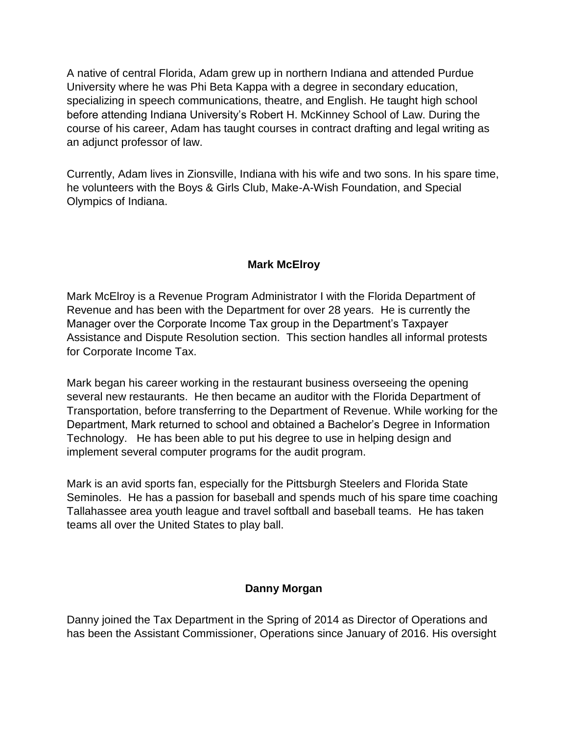A native of central Florida, Adam grew up in northern Indiana and attended Purdue University where he was Phi Beta Kappa with a degree in secondary education, specializing in speech communications, theatre, and English. He taught high school before attending Indiana University's Robert H. McKinney School of Law. During the course of his career, Adam has taught courses in contract drafting and legal writing as an adjunct professor of law.

Currently, Adam lives in Zionsville, Indiana with his wife and two sons. In his spare time, he volunteers with the Boys & Girls Club, Make-A-Wish Foundation, and Special Olympics of Indiana.

# **Mark McElroy**

Mark McElroy is a Revenue Program Administrator I with the Florida Department of Revenue and has been with the Department for over 28 years. He is currently the Manager over the Corporate Income Tax group in the Department's Taxpayer Assistance and Dispute Resolution section. This section handles all informal protests for Corporate Income Tax.

Mark began his career working in the restaurant business overseeing the opening several new restaurants. He then became an auditor with the Florida Department of Transportation, before transferring to the Department of Revenue. While working for the Department, Mark returned to school and obtained a Bachelor's Degree in Information Technology. He has been able to put his degree to use in helping design and implement several computer programs for the audit program.

Mark is an avid sports fan, especially for the Pittsburgh Steelers and Florida State Seminoles. He has a passion for baseball and spends much of his spare time coaching Tallahassee area youth league and travel softball and baseball teams. He has taken teams all over the United States to play ball.

# **Danny Morgan**

Danny joined the Tax Department in the Spring of 2014 as Director of Operations and has been the Assistant Commissioner, Operations since January of 2016. His oversight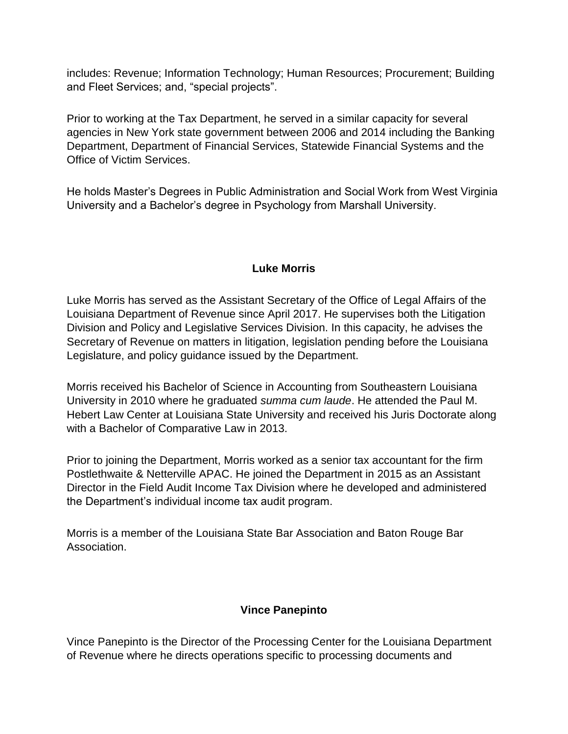includes: Revenue; Information Technology; Human Resources; Procurement; Building and Fleet Services; and, "special projects".

Prior to working at the Tax Department, he served in a similar capacity for several agencies in New York state government between 2006 and 2014 including the Banking Department, Department of Financial Services, Statewide Financial Systems and the Office of Victim Services.

He holds Master's Degrees in Public Administration and Social Work from West Virginia University and a Bachelor's degree in Psychology from Marshall University.

### **Luke Morris**

Luke Morris has served as the Assistant Secretary of the Office of Legal Affairs of the Louisiana Department of Revenue since April 2017. He supervises both the Litigation Division and Policy and Legislative Services Division. In this capacity, he advises the Secretary of Revenue on matters in litigation, legislation pending before the Louisiana Legislature, and policy guidance issued by the Department.

Morris received his Bachelor of Science in Accounting from Southeastern Louisiana University in 2010 where he graduated *summa cum laude*. He attended the Paul M. Hebert Law Center at Louisiana State University and received his Juris Doctorate along with a Bachelor of Comparative Law in 2013.

Prior to joining the Department, Morris worked as a senior tax accountant for the firm Postlethwaite & Netterville APAC. He joined the Department in 2015 as an Assistant Director in the Field Audit Income Tax Division where he developed and administered the Department's individual income tax audit program.

Morris is a member of the Louisiana State Bar Association and Baton Rouge Bar Association.

### **Vince Panepinto**

Vince Panepinto is the Director of the Processing Center for the Louisiana Department of Revenue where he directs operations specific to processing documents and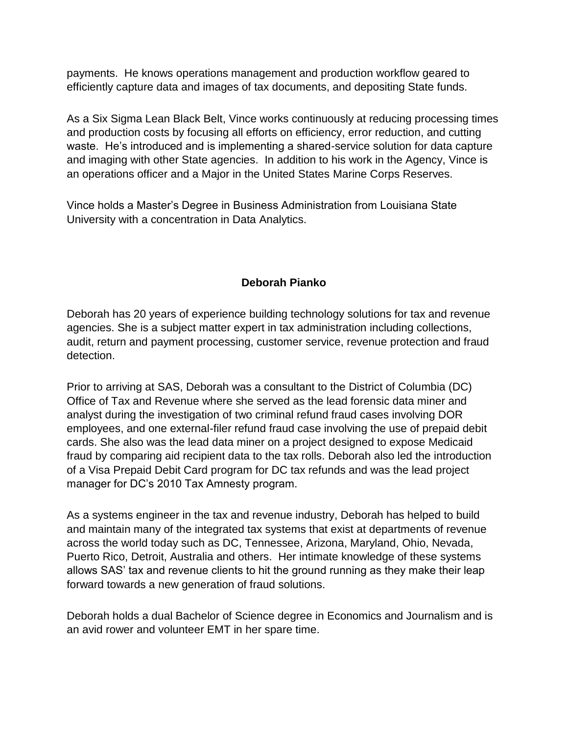payments. He knows operations management and production workflow geared to efficiently capture data and images of tax documents, and depositing State funds.

As a Six Sigma Lean Black Belt, Vince works continuously at reducing processing times and production costs by focusing all efforts on efficiency, error reduction, and cutting waste. He's introduced and is implementing a shared-service solution for data capture and imaging with other State agencies. In addition to his work in the Agency, Vince is an operations officer and a Major in the United States Marine Corps Reserves.

Vince holds a Master's Degree in Business Administration from Louisiana State University with a concentration in Data Analytics.

# **Deborah Pianko**

Deborah has 20 years of experience building technology solutions for tax and revenue agencies. She is a subject matter expert in tax administration including collections, audit, return and payment processing, customer service, revenue protection and fraud detection.

Prior to arriving at SAS, Deborah was a consultant to the District of Columbia (DC) Office of Tax and Revenue where she served as the lead forensic data miner and analyst during the investigation of two criminal refund fraud cases involving DOR employees, and one external-filer refund fraud case involving the use of prepaid debit cards. She also was the lead data miner on a project designed to expose Medicaid fraud by comparing aid recipient data to the tax rolls. Deborah also led the introduction of a Visa Prepaid Debit Card program for DC tax refunds and was the lead project manager for DC's 2010 Tax Amnesty program.

As a systems engineer in the tax and revenue industry, Deborah has helped to build and maintain many of the integrated tax systems that exist at departments of revenue across the world today such as DC, Tennessee, Arizona, Maryland, Ohio, Nevada, Puerto Rico, Detroit, Australia and others. Her intimate knowledge of these systems allows SAS' tax and revenue clients to hit the ground running as they make their leap forward towards a new generation of fraud solutions.

Deborah holds a dual Bachelor of Science degree in Economics and Journalism and is an avid rower and volunteer EMT in her spare time.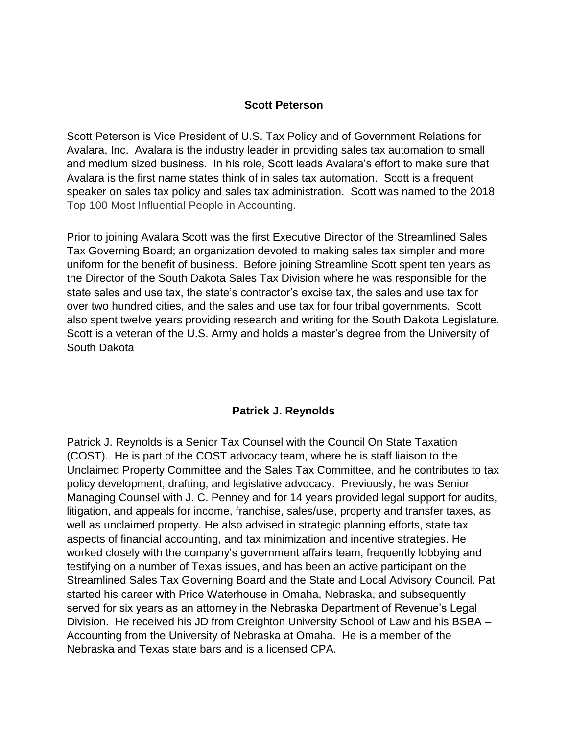#### **Scott Peterson**

Scott Peterson is Vice President of U.S. Tax Policy and of Government Relations for Avalara, Inc. Avalara is the industry leader in providing sales tax automation to small and medium sized business. In his role, Scott leads Avalara's effort to make sure that Avalara is the first name states think of in sales tax automation. Scott is a frequent speaker on sales tax policy and sales tax administration. Scott was named to the 2018 Top 100 Most Influential People in Accounting.

Prior to joining Avalara Scott was the first Executive Director of the Streamlined Sales Tax Governing Board; an organization devoted to making sales tax simpler and more uniform for the benefit of business. Before joining Streamline Scott spent ten years as the Director of the South Dakota Sales Tax Division where he was responsible for the state sales and use tax, the state's contractor's excise tax, the sales and use tax for over two hundred cities, and the sales and use tax for four tribal governments. Scott also spent twelve years providing research and writing for the South Dakota Legislature. Scott is a veteran of the U.S. Army and holds a master's degree from the University of South Dakota

### **Patrick J. Reynolds**

Patrick J. Reynolds is a Senior Tax Counsel with the Council On State Taxation (COST). He is part of the COST advocacy team, where he is staff liaison to the Unclaimed Property Committee and the Sales Tax Committee, and he contributes to tax policy development, drafting, and legislative advocacy. Previously, he was Senior Managing Counsel with J. C. Penney and for 14 years provided legal support for audits, litigation, and appeals for income, franchise, sales/use, property and transfer taxes, as well as unclaimed property. He also advised in strategic planning efforts, state tax aspects of financial accounting, and tax minimization and incentive strategies. He worked closely with the company's government affairs team, frequently lobbying and testifying on a number of Texas issues, and has been an active participant on the Streamlined Sales Tax Governing Board and the State and Local Advisory Council. Pat started his career with Price Waterhouse in Omaha, Nebraska, and subsequently served for six years as an attorney in the Nebraska Department of Revenue's Legal Division. He received his JD from Creighton University School of Law and his BSBA – Accounting from the University of Nebraska at Omaha. He is a member of the Nebraska and Texas state bars and is a licensed CPA.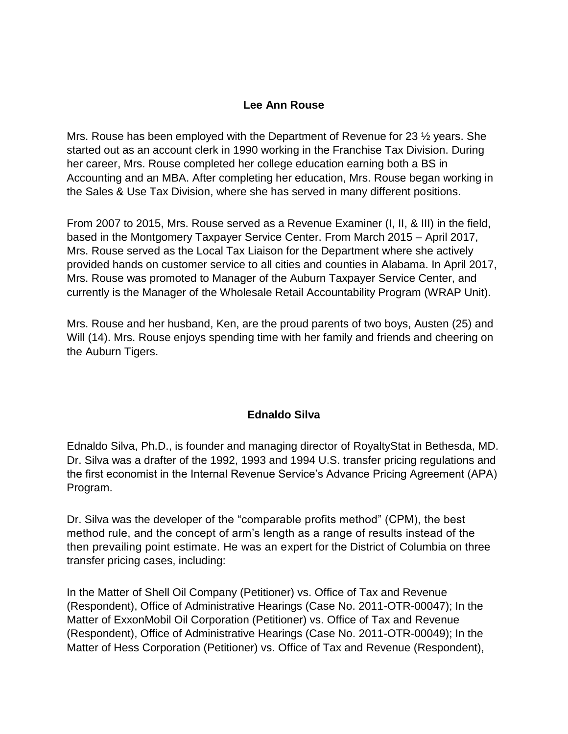### **Lee Ann Rouse**

Mrs. Rouse has been employed with the Department of Revenue for 23 ½ years. She started out as an account clerk in 1990 working in the Franchise Tax Division. During her career, Mrs. Rouse completed her college education earning both a BS in Accounting and an MBA. After completing her education, Mrs. Rouse began working in the Sales & Use Tax Division, where she has served in many different positions.

From 2007 to 2015, Mrs. Rouse served as a Revenue Examiner (I, II, & III) in the field, based in the Montgomery Taxpayer Service Center. From March 2015 – April 2017, Mrs. Rouse served as the Local Tax Liaison for the Department where she actively provided hands on customer service to all cities and counties in Alabama. In April 2017, Mrs. Rouse was promoted to Manager of the Auburn Taxpayer Service Center, and currently is the Manager of the Wholesale Retail Accountability Program (WRAP Unit).

Mrs. Rouse and her husband, Ken, are the proud parents of two boys, Austen (25) and Will (14). Mrs. Rouse enjoys spending time with her family and friends and cheering on the Auburn Tigers.

### **Ednaldo Silva**

Ednaldo Silva, Ph.D., is founder and managing director of RoyaltyStat in Bethesda, MD. Dr. Silva was a drafter of the 1992, 1993 and 1994 U.S. transfer pricing regulations and the first economist in the Internal Revenue Service's Advance Pricing Agreement (APA) Program.

Dr. Silva was the developer of the "comparable profits method" (CPM), the best method rule, and the concept of arm's length as a range of results instead of the then prevailing point estimate. He was an expert for the District of Columbia on three transfer pricing cases, including:

In the Matter of Shell Oil Company (Petitioner) vs. Office of Tax and Revenue (Respondent), Office of Administrative Hearings (Case No. 2011-OTR-00047); In the Matter of ExxonMobil Oil Corporation (Petitioner) vs. Office of Tax and Revenue (Respondent), Office of Administrative Hearings (Case No. 2011-OTR-00049); In the Matter of Hess Corporation (Petitioner) vs. Office of Tax and Revenue (Respondent),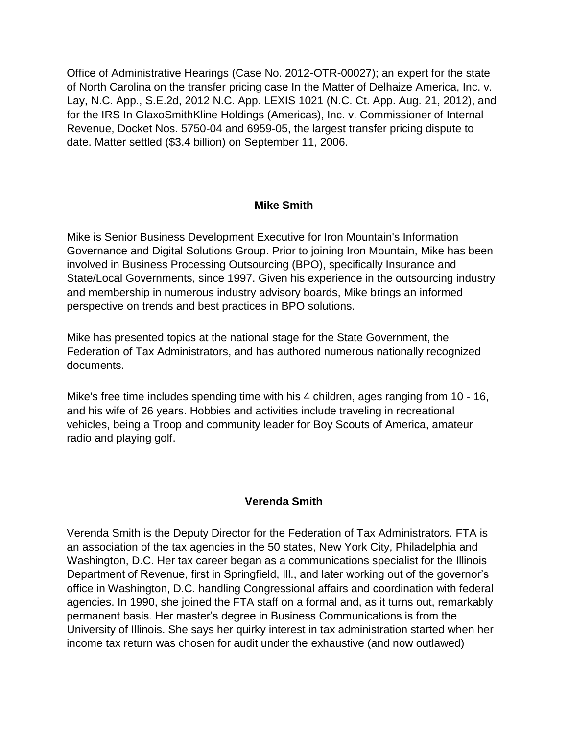Office of Administrative Hearings (Case No. 2012-OTR-00027); an expert for the state of North Carolina on the transfer pricing case In the Matter of Delhaize America, Inc. v. Lay, N.C. App., S.E.2d, 2012 N.C. App. LEXIS 1021 (N.C. Ct. App. Aug. 21, 2012), and for the IRS In GlaxoSmithKline Holdings (Americas), Inc. v. Commissioner of Internal Revenue, Docket Nos. 5750-04 and 6959-05, the largest transfer pricing dispute to date. Matter settled (\$3.4 billion) on September 11, 2006.

### **Mike Smith**

Mike is Senior Business Development Executive for Iron Mountain's Information Governance and Digital Solutions Group. Prior to joining Iron Mountain, Mike has been involved in Business Processing Outsourcing (BPO), specifically Insurance and State/Local Governments, since 1997. Given his experience in the outsourcing industry and membership in numerous industry advisory boards, Mike brings an informed perspective on trends and best practices in BPO solutions.

Mike has presented topics at the national stage for the State Government, the Federation of Tax Administrators, and has authored numerous nationally recognized documents.

Mike's free time includes spending time with his 4 children, ages ranging from 10 - 16, and his wife of 26 years. Hobbies and activities include traveling in recreational vehicles, being a Troop and community leader for Boy Scouts of America, amateur radio and playing golf.

### **Verenda Smith**

Verenda Smith is the Deputy Director for the Federation of Tax Administrators. FTA is an association of the tax agencies in the 50 states, New York City, Philadelphia and Washington, D.C. Her tax career began as a communications specialist for the Illinois Department of Revenue, first in Springfield, Ill., and later working out of the governor's office in Washington, D.C. handling Congressional affairs and coordination with federal agencies. In 1990, she joined the FTA staff on a formal and, as it turns out, remarkably permanent basis. Her master's degree in Business Communications is from the University of Illinois. She says her quirky interest in tax administration started when her income tax return was chosen for audit under the exhaustive (and now outlawed)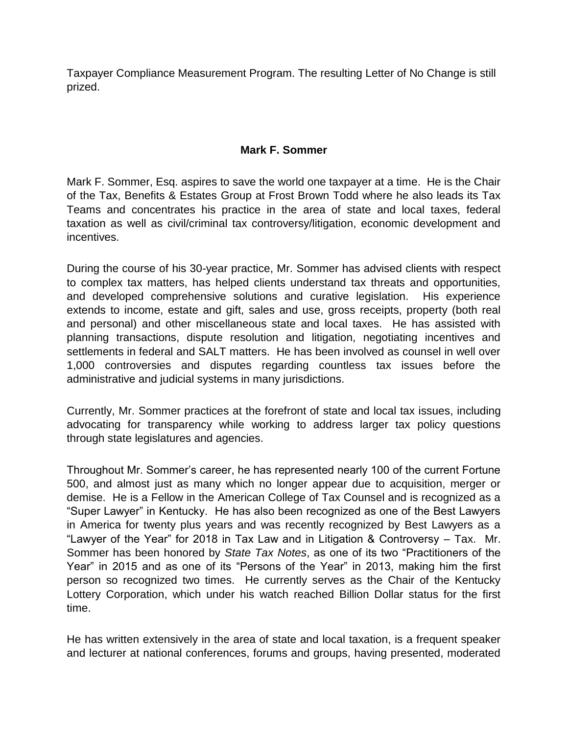Taxpayer Compliance Measurement Program. The resulting Letter of No Change is still prized.

### **Mark F. Sommer**

Mark F. Sommer, Esq. aspires to save the world one taxpayer at a time. He is the Chair of the Tax, Benefits & Estates Group at Frost Brown Todd where he also leads its Tax Teams and concentrates his practice in the area of state and local taxes, federal taxation as well as civil/criminal tax controversy/litigation, economic development and incentives.

During the course of his 30-year practice, Mr. Sommer has advised clients with respect to complex tax matters, has helped clients understand tax threats and opportunities, and developed comprehensive solutions and curative legislation. His experience extends to income, estate and gift, sales and use, gross receipts, property (both real and personal) and other miscellaneous state and local taxes. He has assisted with planning transactions, dispute resolution and litigation, negotiating incentives and settlements in federal and SALT matters. He has been involved as counsel in well over 1,000 controversies and disputes regarding countless tax issues before the administrative and judicial systems in many jurisdictions.

Currently, Mr. Sommer practices at the forefront of state and local tax issues, including advocating for transparency while working to address larger tax policy questions through state legislatures and agencies.

Throughout Mr. Sommer's career, he has represented nearly 100 of the current Fortune 500, and almost just as many which no longer appear due to acquisition, merger or demise. He is a Fellow in the American College of Tax Counsel and is recognized as a "Super Lawyer" in Kentucky. He has also been recognized as one of the Best Lawyers in America for twenty plus years and was recently recognized by Best Lawyers as a "Lawyer of the Year" for 2018 in Tax Law and in Litigation & Controversy – Tax. Mr. Sommer has been honored by *State Tax Notes*, as one of its two "Practitioners of the Year" in 2015 and as one of its "Persons of the Year" in 2013, making him the first person so recognized two times. He currently serves as the Chair of the Kentucky Lottery Corporation, which under his watch reached Billion Dollar status for the first time.

He has written extensively in the area of state and local taxation, is a frequent speaker and lecturer at national conferences, forums and groups, having presented, moderated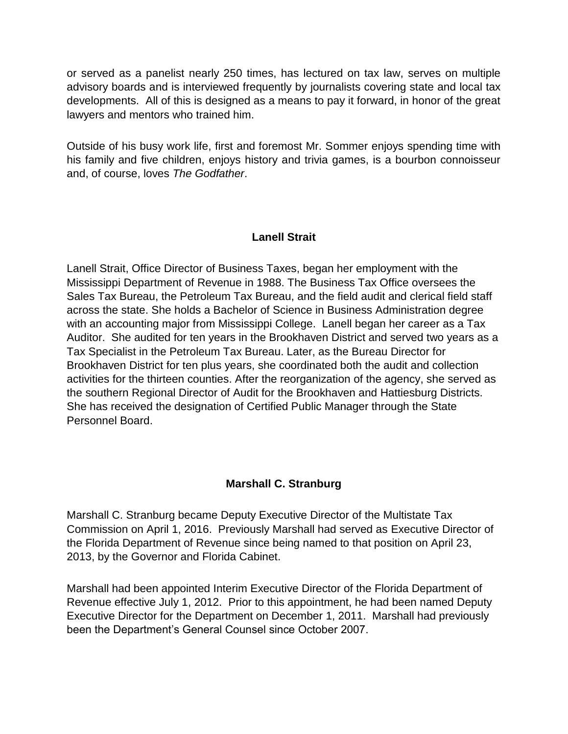or served as a panelist nearly 250 times, has lectured on tax law, serves on multiple advisory boards and is interviewed frequently by journalists covering state and local tax developments. All of this is designed as a means to pay it forward, in honor of the great lawyers and mentors who trained him.

Outside of his busy work life, first and foremost Mr. Sommer enjoys spending time with his family and five children, enjoys history and trivia games, is a bourbon connoisseur and, of course, loves *The Godfather*.

### **Lanell Strait**

Lanell Strait, Office Director of Business Taxes, began her employment with the Mississippi Department of Revenue in 1988. The Business Tax Office oversees the Sales Tax Bureau, the Petroleum Tax Bureau, and the field audit and clerical field staff across the state. She holds a Bachelor of Science in Business Administration degree with an accounting major from Mississippi College. Lanell began her career as a Tax Auditor. She audited for ten years in the Brookhaven District and served two years as a Tax Specialist in the Petroleum Tax Bureau. Later, as the Bureau Director for Brookhaven District for ten plus years, she coordinated both the audit and collection activities for the thirteen counties. After the reorganization of the agency, she served as the southern Regional Director of Audit for the Brookhaven and Hattiesburg Districts. She has received the designation of Certified Public Manager through the State Personnel Board.

# **Marshall C. Stranburg**

Marshall C. Stranburg became Deputy Executive Director of the Multistate Tax Commission on April 1, 2016. Previously Marshall had served as Executive Director of the Florida Department of Revenue since being named to that position on April 23, 2013, by the Governor and Florida Cabinet.

Marshall had been appointed Interim Executive Director of the Florida Department of Revenue effective July 1, 2012. Prior to this appointment, he had been named Deputy Executive Director for the Department on December 1, 2011. Marshall had previously been the Department's General Counsel since October 2007.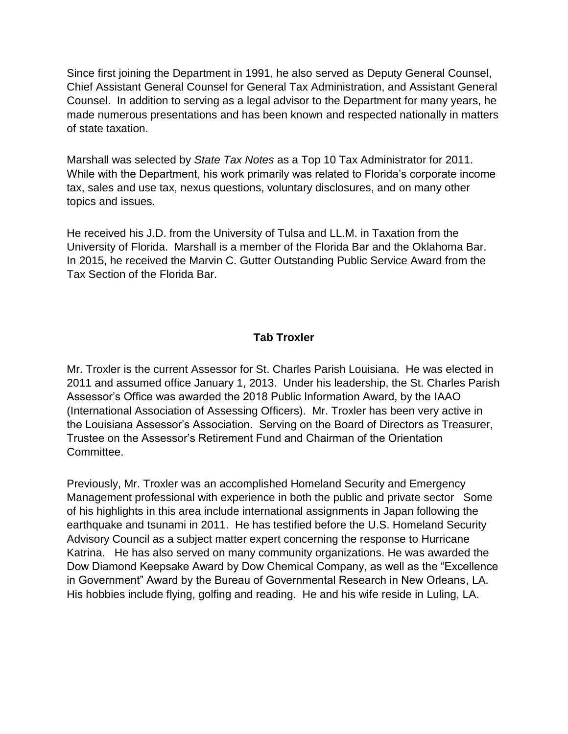Since first joining the Department in 1991, he also served as Deputy General Counsel, Chief Assistant General Counsel for General Tax Administration, and Assistant General Counsel. In addition to serving as a legal advisor to the Department for many years, he made numerous presentations and has been known and respected nationally in matters of state taxation.

Marshall was selected by *State Tax Notes* as a Top 10 Tax Administrator for 2011. While with the Department, his work primarily was related to Florida's corporate income tax, sales and use tax, nexus questions, voluntary disclosures, and on many other topics and issues.

He received his J.D. from the University of Tulsa and LL.M. in Taxation from the University of Florida. Marshall is a member of the Florida Bar and the Oklahoma Bar. In 2015, he received the Marvin C. Gutter Outstanding Public Service Award from the Tax Section of the Florida Bar.

# **Tab Troxler**

Mr. Troxler is the current Assessor for St. Charles Parish Louisiana. He was elected in 2011 and assumed office January 1, 2013. Under his leadership, the St. Charles Parish Assessor's Office was awarded the 2018 Public Information Award, by the IAAO (International Association of Assessing Officers). Mr. Troxler has been very active in the Louisiana Assessor's Association. Serving on the Board of Directors as Treasurer, Trustee on the Assessor's Retirement Fund and Chairman of the Orientation Committee.

Previously, Mr. Troxler was an accomplished Homeland Security and Emergency Management professional with experience in both the public and private sector Some of his highlights in this area include international assignments in Japan following the earthquake and tsunami in 2011. He has testified before the U.S. Homeland Security Advisory Council as a subject matter expert concerning the response to Hurricane Katrina. He has also served on many community organizations. He was awarded the Dow Diamond Keepsake Award by Dow Chemical Company, as well as the "Excellence in Government" Award by the Bureau of Governmental Research in New Orleans, LA. His hobbies include flying, golfing and reading. He and his wife reside in Luling, LA.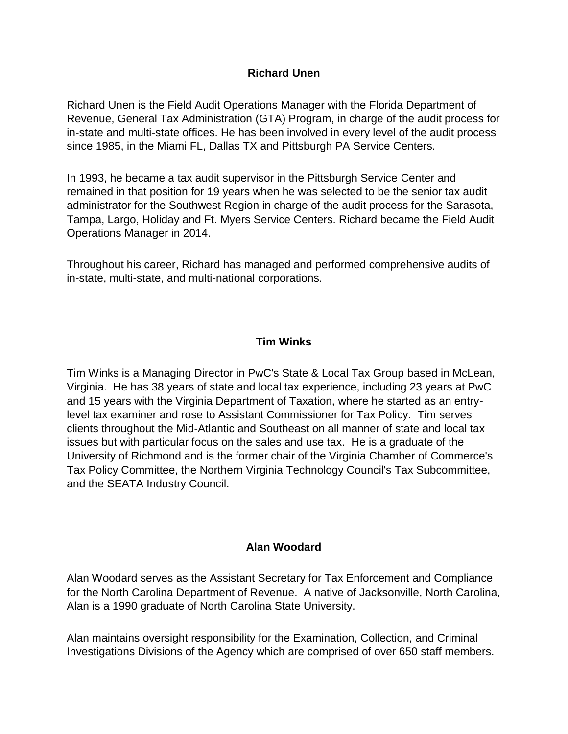### **Richard Unen**

Richard Unen is the Field Audit Operations Manager with the Florida Department of Revenue, General Tax Administration (GTA) Program, in charge of the audit process for in-state and multi-state offices. He has been involved in every level of the audit process since 1985, in the Miami FL, Dallas TX and Pittsburgh PA Service Centers.

In 1993, he became a tax audit supervisor in the Pittsburgh Service Center and remained in that position for 19 years when he was selected to be the senior tax audit administrator for the Southwest Region in charge of the audit process for the Sarasota, Tampa, Largo, Holiday and Ft. Myers Service Centers. Richard became the Field Audit Operations Manager in 2014.

Throughout his career, Richard has managed and performed comprehensive audits of in-state, multi-state, and multi-national corporations.

# **Tim Winks**

Tim Winks is a Managing Director in PwC's State & Local Tax Group based in McLean, Virginia. He has 38 years of state and local tax experience, including 23 years at PwC and 15 years with the Virginia Department of Taxation, where he started as an entrylevel tax examiner and rose to Assistant Commissioner for Tax Policy. Tim serves clients throughout the Mid-Atlantic and Southeast on all manner of state and local tax issues but with particular focus on the sales and use tax. He is a graduate of the University of Richmond and is the former chair of the Virginia Chamber of Commerce's Tax Policy Committee, the Northern Virginia Technology Council's Tax Subcommittee, and the SEATA Industry Council.

# **Alan Woodard**

Alan Woodard serves as the Assistant Secretary for Tax Enforcement and Compliance for the North Carolina Department of Revenue. A native of Jacksonville, North Carolina, Alan is a 1990 graduate of North Carolina State University.

Alan maintains oversight responsibility for the Examination, Collection, and Criminal Investigations Divisions of the Agency which are comprised of over 650 staff members.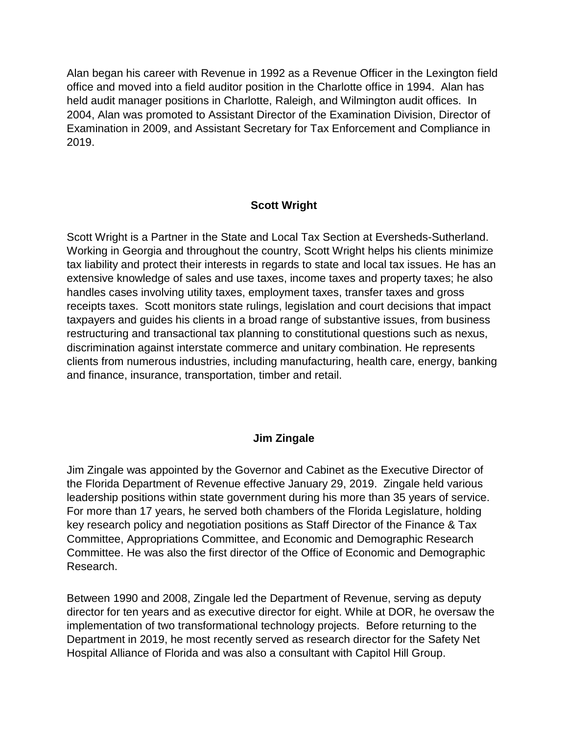Alan began his career with Revenue in 1992 as a Revenue Officer in the Lexington field office and moved into a field auditor position in the Charlotte office in 1994. Alan has held audit manager positions in Charlotte, Raleigh, and Wilmington audit offices. In 2004, Alan was promoted to Assistant Director of the Examination Division, Director of Examination in 2009, and Assistant Secretary for Tax Enforcement and Compliance in 2019.

### **Scott Wright**

Scott Wright is a Partner in the State and Local Tax Section at Eversheds-Sutherland. Working in Georgia and throughout the country, Scott Wright helps his clients minimize tax liability and protect their interests in regards to state and local tax issues. He has an extensive knowledge of sales and use taxes, income taxes and property taxes; he also handles cases involving utility taxes, employment taxes, transfer taxes and gross receipts taxes. Scott monitors state rulings, legislation and court decisions that impact taxpayers and guides his clients in a broad range of substantive issues, from business restructuring and transactional tax planning to constitutional questions such as nexus, discrimination against interstate commerce and unitary combination. He represents clients from numerous industries, including manufacturing, health care, energy, banking and finance, insurance, transportation, timber and retail.

### **Jim Zingale**

Jim Zingale was appointed by the Governor and Cabinet as the Executive Director of the Florida Department of Revenue effective January 29, 2019. Zingale held various leadership positions within state government during his more than 35 years of service. For more than 17 years, he served both chambers of the Florida Legislature, holding key research policy and negotiation positions as Staff Director of the Finance & Tax Committee, Appropriations Committee, and Economic and Demographic Research Committee. He was also the first director of the Office of Economic and Demographic Research.

Between 1990 and 2008, Zingale led the Department of Revenue, serving as deputy director for ten years and as executive director for eight. While at DOR, he oversaw the implementation of two transformational technology projects. Before returning to the Department in 2019, he most recently served as research director for the Safety Net Hospital Alliance of Florida and was also a consultant with Capitol Hill Group.